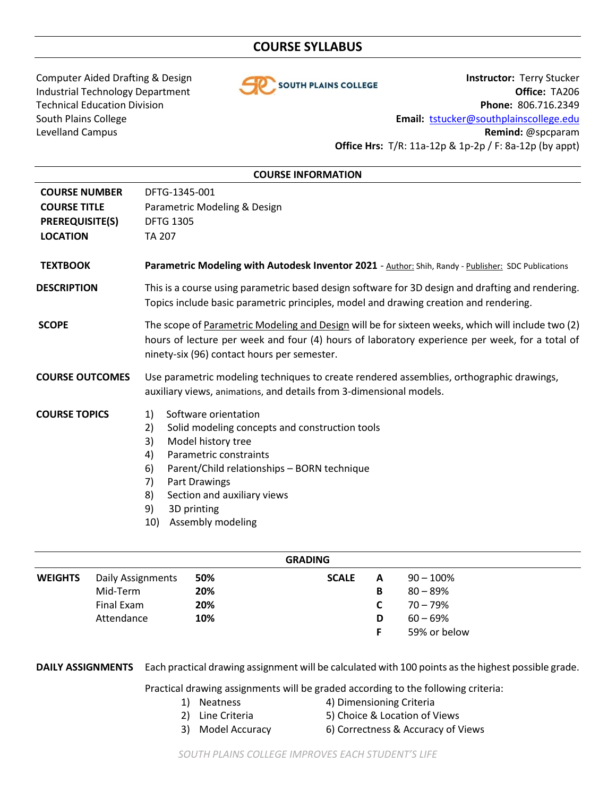# **COURSE SYLLABUS**



Computer Aided Drafting & Design **Instructor:** Terry Stucker Industrial Technology Department **Office:** TA206 Technical Education Division **Phone:** 806.716.2349 South Plains College **Email:** [tstucker@southplainscollege.edu](mailto:tstucker@southplainscollege.edu) Levelland Campus **Remind:** @spcparam **Office Hrs:** T/R: 11a-12p & 1p-2p / F: 8a-12p (by appt)

| <b>COURSE INFORMATION</b>                                                                |                                                                                                                                                                                                                                                                                                                  |  |  |  |  |  |  |
|------------------------------------------------------------------------------------------|------------------------------------------------------------------------------------------------------------------------------------------------------------------------------------------------------------------------------------------------------------------------------------------------------------------|--|--|--|--|--|--|
| <b>COURSE NUMBER</b><br><b>COURSE TITLE</b><br><b>PREREQUISITE(S)</b><br><b>LOCATION</b> | DFTG-1345-001<br>Parametric Modeling & Design<br><b>DFTG 1305</b><br>TA 207                                                                                                                                                                                                                                      |  |  |  |  |  |  |
| <b>TEXTBOOK</b>                                                                          | Parametric Modeling with Autodesk Inventor 2021 - Author: Shih, Randy - Publisher: SDC Publications                                                                                                                                                                                                              |  |  |  |  |  |  |
| <b>DESCRIPTION</b>                                                                       | This is a course using parametric based design software for 3D design and drafting and rendering.<br>Topics include basic parametric principles, model and drawing creation and rendering.                                                                                                                       |  |  |  |  |  |  |
| <b>SCOPE</b>                                                                             | The scope of Parametric Modeling and Design will be for sixteen weeks, which will include two (2)<br>hours of lecture per week and four (4) hours of laboratory experience per week, for a total of<br>ninety-six (96) contact hours per semester.                                                               |  |  |  |  |  |  |
| <b>COURSE OUTCOMES</b>                                                                   | Use parametric modeling techniques to create rendered assemblies, orthographic drawings,<br>auxiliary views, animations, and details from 3-dimensional models.                                                                                                                                                  |  |  |  |  |  |  |
| <b>COURSE TOPICS</b>                                                                     | Software orientation<br>1)<br>2)<br>Solid modeling concepts and construction tools<br>3)<br>Model history tree<br>Parametric constraints<br>4)<br>Parent/Child relationships - BORN technique<br>6)<br>Part Drawings<br>7)<br>Section and auxiliary views<br>8)<br>9)<br>3D printing<br>Assembly modeling<br>10) |  |  |  |  |  |  |

| <b>GRADING</b>           |     |              |   |              |  |  |  |  |  |
|--------------------------|-----|--------------|---|--------------|--|--|--|--|--|
| <b>Daily Assignments</b> | 50% | <b>SCALE</b> | A | $90 - 100\%$ |  |  |  |  |  |
| Mid-Term                 | 20% |              | В | $80 - 89%$   |  |  |  |  |  |
| Final Exam               | 20% |              |   | $70 - 79%$   |  |  |  |  |  |
| Attendance               | 10% |              | D | $60 - 69%$   |  |  |  |  |  |
|                          |     |              |   | 59% or below |  |  |  |  |  |
|                          |     |              |   |              |  |  |  |  |  |

**DAILY ASSIGNMENTS** Each practical drawing assignment will be calculated with 100 points as the highest possible grade.

Practical drawing assignments will be graded according to the following criteria:

- 
- 1) Neatness 4) Dimensioning Criteria
	- 2) Line Criteria 5) Choice & Location of Views
		-
- 
- 3) Model Accuracy 6) Correctness & Accuracy of Views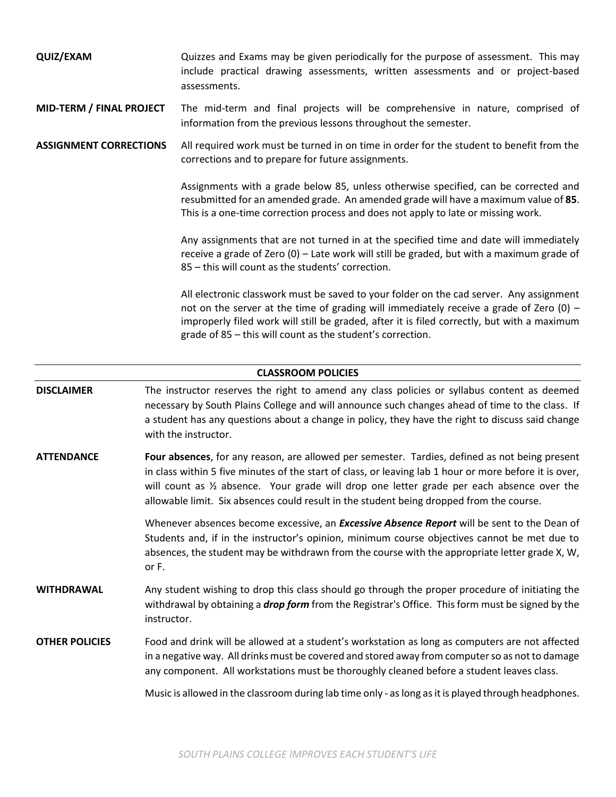| QUIZ/EXAM | Quizzes and Exams may be given periodically for the purpose of assessment. This may |  |  |  |  |  |  |  |                                                                                 |
|-----------|-------------------------------------------------------------------------------------|--|--|--|--|--|--|--|---------------------------------------------------------------------------------|
|           |                                                                                     |  |  |  |  |  |  |  | include practical drawing assessments, written assessments and or project-based |
|           | assessments.                                                                        |  |  |  |  |  |  |  |                                                                                 |

**MID-TERM / FINAL PROJECT** The mid-term and final projects will be comprehensive in nature, comprised of information from the previous lessons throughout the semester.

**ASSIGNMENT CORRECTIONS** All required work must be turned in on time in order for the student to benefit from the corrections and to prepare for future assignments.

> Assignments with a grade below 85, unless otherwise specified, can be corrected and resubmitted for an amended grade. An amended grade will have a maximum value of **85**. This is a one-time correction process and does not apply to late or missing work.

> Any assignments that are not turned in at the specified time and date will immediately receive a grade of Zero (0) – Late work will still be graded, but with a maximum grade of 85 – this will count as the students' correction.

> All electronic classwork must be saved to your folder on the cad server. Any assignment not on the server at the time of grading will immediately receive a grade of Zero  $(0)$  – improperly filed work will still be graded, after it is filed correctly, but with a maximum grade of 85 – this will count as the student's correction.

# **CLASSROOM POLICIES**

- **DISCLAIMER** The instructor reserves the right to amend any class policies or syllabus content as deemed necessary by South Plains College and will announce such changes ahead of time to the class. If a student has any questions about a change in policy, they have the right to discuss said change with the instructor.
- **ATTENDANCE Four absences**, for any reason, are allowed per semester. Tardies, defined as not being present in class within 5 five minutes of the start of class, or leaving lab 1 hour or more before it is over, will count as ½ absence. Your grade will drop one letter grade per each absence over the allowable limit. Six absences could result in the student being dropped from the course.

Whenever absences become excessive, an *Excessive Absence Report* will be sent to the Dean of Students and, if in the instructor's opinion, minimum course objectives cannot be met due to absences, the student may be withdrawn from the course with the appropriate letter grade X, W, or F.

- **WITHDRAWAL** Any student wishing to drop this class should go through the proper procedure of initiating the withdrawal by obtaining a *drop form* from the Registrar's Office. This form must be signed by the instructor.
- **OTHER POLICIES** Food and drink will be allowed at a student's workstation as long as computers are not affected in a negative way. All drinks must be covered and stored away from computer so as not to damage any component. All workstations must be thoroughly cleaned before a student leaves class.

Music is allowed in the classroom during lab time only - as long as it is played through headphones.